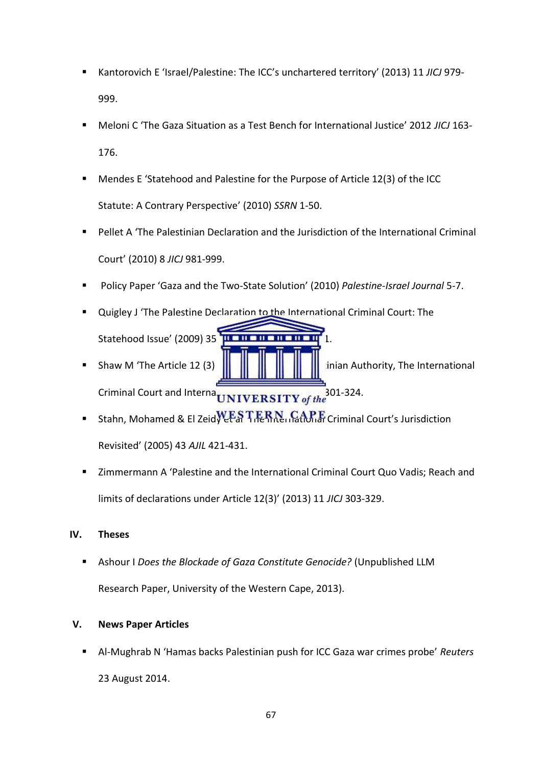- Kantorovich E 'Israel/Palestine: The ICC's unchartered territory' (2013) 11 JICJ 979-999.
- Meloni C 'The Gaza Situation as a Test Bench for International Justice' 2012 *JICJ* 163- 176.
- Mendes E 'Statehood and Palestine for the Purpose of Article 12(3) of the ICC Statute: A Contrary Perspective' (2010) *SSRN* 1-50.
- Pellet A 'The Palestinian Declaration and the Jurisdiction of the International Criminal Court' (2010) 8 *JICJ* 981-999.
- Policy Paper 'Gaza and the Two-State Solution' (2010) *Palestine-Israel Journal* 5-7.
- **Quigley J 'The Palestine Declaration to the International Criminal Court: The Statehood Issue' (2009) 35** Shaw M 'The Article 12 (3)  $\|\cdot\|$   $\|\cdot\|$   $\|\cdot\|$   $\|\cdot\|$  inian Authority, The International Criminal Court and Interna<sub>UNIVERSITY of the</sub> 301-324.
- Stahn, Mohamed & El Zeid $\mathbf{W}\mathbf{F}\mathbf{S}\mathbf{T}\mathbf{F}\mathbf{R}\mathbf{N}\mathbf{R}$  in  $\mathbf{G}\mathbf{M}\mathbf{F}\mathbf{F}$  Criminal Court's Jurisdiction Revisited' (2005) 43 *AJIL* 421-431.
- Zimmermann A 'Palestine and the International Criminal Court Quo Vadis; Reach and limits of declarations under Article 12(3)' (2013) 11 *JICJ* 303-329.

## **IV. Theses**

 Ashour I *Does the Blockade of Gaza Constitute Genocide?* (Unpublished LLM Research Paper, University of the Western Cape, 2013).

## **V. News Paper Articles**

 Al-Mughrab N 'Hamas backs Palestinian push for ICC Gaza war crimes probe' *Reuters* 23 August 2014.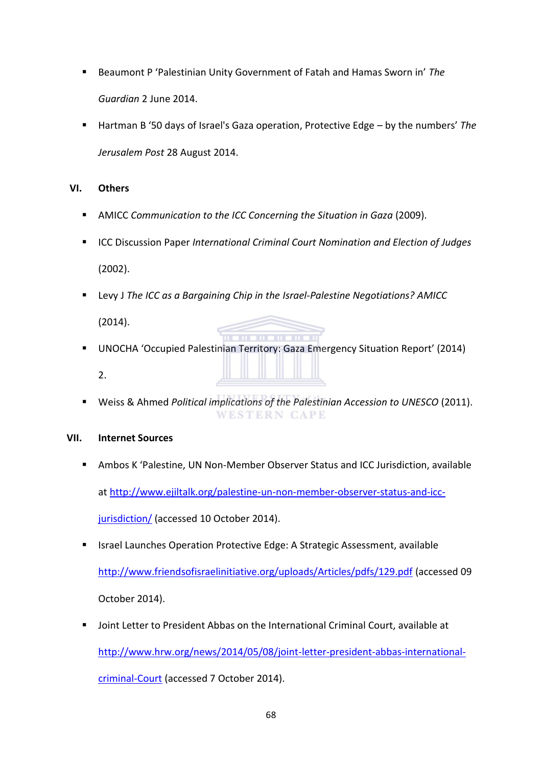- Beaumont P 'Palestinian Unity Government of Fatah and Hamas Sworn in' *The Guardian* 2 June 2014.
- Hartman B '50 days of Israel's Gaza operation, Protective Edge by the numbers' *The Jerusalem Post* 28 August 2014.

## **VI. Others**

- AMICC *Communication to the ICC Concerning the Situation in Gaza* (2009).
- **ICC Discussion Paper International Criminal Court Nomination and Election of Judges** (2002).
- Levy J *The ICC as a Bargaining Chip in the Israel-Palestine Negotiations? AMICC*

(2014).

- $11 11 11 11$  UNOCHA 'Occupied Palestinian Territory: Gaza Emergency Situation Report' (2014) 2.
- Weiss & Ahmed *Political implications of the Palestinian Accession to UNESCO* (2011). **WESTERN CAPE**

## **VII. Internet Sources**

- Ambos K 'Palestine, UN Non-Member Observer Status and ICC Jurisdiction, available at [http://www.ejiltalk.org/palestine-un-non-member-observer-status-and-icc](http://www.ejiltalk.org/palestine-un-non-member-observer-status-and-icc-jurisdiction/)[jurisdiction/](http://www.ejiltalk.org/palestine-un-non-member-observer-status-and-icc-jurisdiction/) (accessed 10 October 2014).
- **In Italy 15 and 15 and 15 and 15 and 15 and 15 and 16 and 16 and 16 and 16 and 16 and 16 and 16 and 16 and 16 a**

<http://www.friendsofisraelinitiative.org/uploads/Articles/pdfs/129.pdf>(accessed 09 October 2014).

 Joint Letter to President Abbas on the International Criminal Court, available at [http://www.hrw.org/news/2014/05/08/joint-letter-president-abbas-international](http://www.hrw.org/news/2014/05/08/joint-letter-president-abbas-international-criminal-court)[criminal-Court](http://www.hrw.org/news/2014/05/08/joint-letter-president-abbas-international-criminal-court) (accessed 7 October 2014).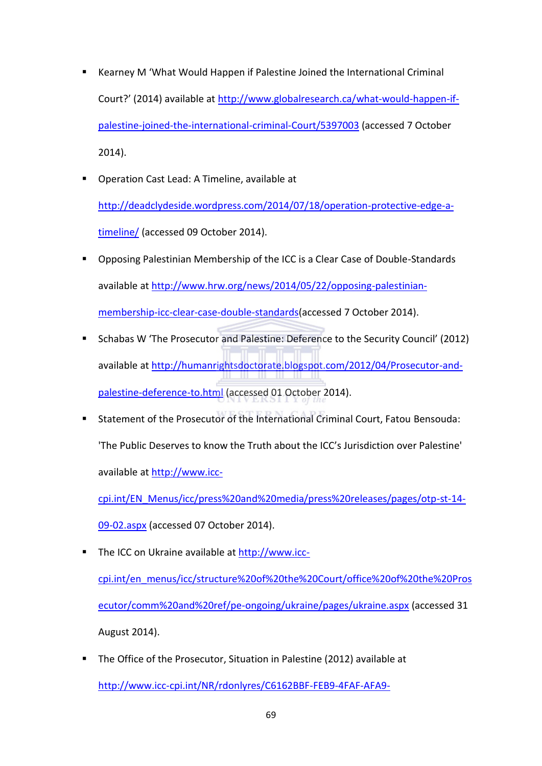- Kearney M 'What Would Happen if Palestine Joined the International Criminal Court?' (2014) available at [http://www.globalresearch.ca/what-would-happen-if](http://www.globalresearch.ca/what-would-happen-if-palestine-joined-the-international-criminal-court/5397003)[palestine-joined-the-international-criminal-Court/5397003](http://www.globalresearch.ca/what-would-happen-if-palestine-joined-the-international-criminal-court/5397003) (accessed 7 October 2014).
- **Operation Cast Lead: A Timeline, available at** [http://deadclydeside.wordpress.com/2014/07/18/operation-protective-edge-a](http://deadclydeside.wordpress.com/2014/07/18/operation-protective-edge-a-timeline/)[timeline/](http://deadclydeside.wordpress.com/2014/07/18/operation-protective-edge-a-timeline/) (accessed 09 October 2014).
- Opposing Palestinian Membership of the ICC is a Clear Case of Double-Standards available at [http://www.hrw.org/news/2014/05/22/opposing-palestinian](http://www.hrw.org/news/2014/05/22/opposing-palestinian-membership-icc-clear-case-double-standards)[membership-icc-clear-case-double-standards\(](http://www.hrw.org/news/2014/05/22/opposing-palestinian-membership-icc-clear-case-double-standards)accessed 7 October 2014).
- Schabas W 'The Prosecutor and Palestine: Deference to the Security Council' (2012) available at [http://humanrightsdoctorate.blogspot.com/2012/04/Prosecutor-and](http://humanrightsdoctorate.blogspot.com/2012/04/prosecutor-and-palestine-deference-to.html)[palestine-deference-to.html](http://humanrightsdoctorate.blogspot.com/2012/04/prosecutor-and-palestine-deference-to.html) (accessed 01 October 2014).
- Statement of the Prosecutor of the International Criminal Court, Fatou Bensouda: 'The Public Deserves to know the Truth about the ICC's Jurisdiction over Palestine' available at [http://www.icc-](http://www.icc-cpi.int/EN_Menus/icc/press%20and%20media/press%20releases/pages/otp-st-14-09-02.aspx)

[cpi.int/EN\\_Menus/icc/press%20and%20media/press%20releases/pages/otp-st-14-](http://www.icc-cpi.int/EN_Menus/icc/press%20and%20media/press%20releases/pages/otp-st-14-09-02.aspx) [09-02.aspx](http://www.icc-cpi.int/EN_Menus/icc/press%20and%20media/press%20releases/pages/otp-st-14-09-02.aspx) (accessed 07 October 2014).

- The ICC on Ukraine available at [http://www.icc](http://www.icc-cpi.int/en_menus/icc/structure%20of%20the%20court/office%20of%20the%20prosecutor/comm%20and%20ref/pe-ongoing/ukraine/pages/ukraine.aspx)[cpi.int/en\\_menus/icc/structure%20of%20the%20Court/office%20of%20the%20Pros](http://www.icc-cpi.int/en_menus/icc/structure%20of%20the%20court/office%20of%20the%20prosecutor/comm%20and%20ref/pe-ongoing/ukraine/pages/ukraine.aspx) [ecutor/comm%20and%20ref/pe-ongoing/ukraine/pages/ukraine.aspx](http://www.icc-cpi.int/en_menus/icc/structure%20of%20the%20court/office%20of%20the%20prosecutor/comm%20and%20ref/pe-ongoing/ukraine/pages/ukraine.aspx) (accessed 31 August 2014).
- The Office of the Prosecutor, Situation in Palestine (2012) available at [http://www.icc-cpi.int/NR/rdonlyres/C6162BBF-FEB9-4FAF-AFA9-](http://www.icc-cpi.int/NR/rdonlyres/C6162BBF-FEB9-4FAF-AFA9-836106D2694A/284387/SituationinPalestine030412ENG.pdf)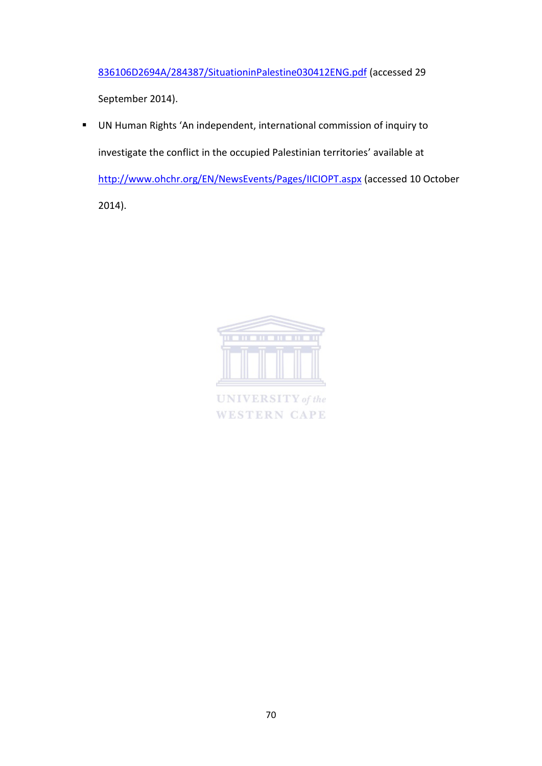[836106D2694A/284387/SituationinPalestine030412ENG.pdf](http://www.icc-cpi.int/NR/rdonlyres/C6162BBF-FEB9-4FAF-AFA9-836106D2694A/284387/SituationinPalestine030412ENG.pdf) (accessed 29

September 2014).

 UN Human Rights 'An independent, international commission of inquiry to investigate the conflict in the occupied Palestinian territories' available at <http://www.ohchr.org/EN/NewsEvents/Pages/IICIOPT.aspx>(accessed 10 October 2014).



**UNIVERSITY** of the **WESTERN CAPE**